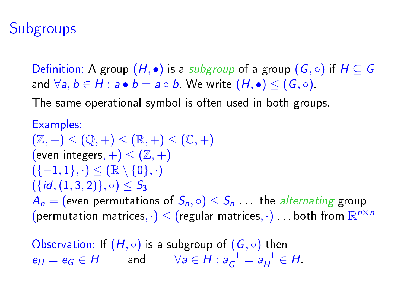# **Subgroups**

Definition: A group  $(H, \bullet)$  is a *subgroup* of a group  $(G, \circ)$  if  $H \subseteq G$ and  $\forall a, b \in H : a \bullet b = a \circ b$ . We write  $(H, \bullet) \leq (G, \circ).$ 

The same operational symbol is often used in both groups.

Examples:  $(\mathbb{Z}, +) < (0, +) < (\mathbb{R}, +) < (\mathbb{C}, +)$ (even integers,  $+$ )  $\leq (\mathbb{Z}, +)$  $({-1, 1}, \cdot) < (\mathbb{R} \setminus \{0\}, \cdot)$  $({id, (1, 3, 2)}, \circ) < S_3$  $A_n =$  (even permutations of  $S_n, \circ) \leq S_n$  ... the *alternating* group (permutation matrices,  $\cdot$ )  $\leq$  (regular matrices,  $\cdot$ ) . . . both from  $\mathbb{R}^{n \times n}$ 

Observation: If  $(H, \circ)$  is a subgroup of  $(G, \circ)$  then  $e_H = e_G \in H$  and  $\forall a \in H : a_G^{-1} = a_H^{-1} \in H$ .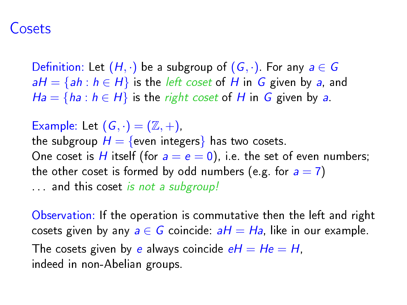#### Cosets

Definition: Let  $(H, \cdot)$  be a subgroup of  $(G, \cdot)$ . For any  $a \in G$  $aH = \{ah : h \in H\}$  is the *left coset* of H in G given by a, and  $Ha = \{ha : h \in H\}$  is the right coset of H in G given by a.

Example: Let  $(G, \cdot) = (\mathbb{Z}, +)$ ,

the subgroup  $H = \{$  even integers  $\}$  has two cosets. One coset is H itself (for  $a = e = 0$ ), i.e. the set of even numbers; the other coset is formed by odd numbers (e.g. for  $a = 7$ ) ... and this coset is not a subgroup!

Observation: If the operation is commutative then the left and right cosets given by any  $a \in G$  coincide:  $aH = Ha$ , like in our example. The cosets given by e always coincide  $eH = He = H$ , indeed in non-Abelian groups.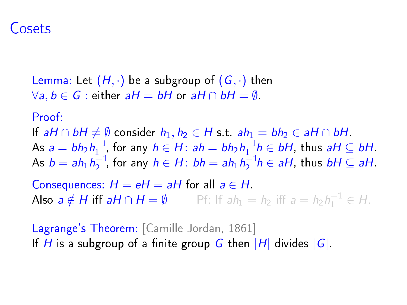#### Cosets

Lemma: Let  $(H, \cdot)$  be a subgroup of  $(G, \cdot)$  then  $\forall a, b \in G$ : either  $aH = bH$  or  $aH \cap bH = \emptyset$ .

Proof:

If  $aH \cap bH \neq \emptyset$  consider  $h_1, h_2 \in H$  s.t.  $ah_1 = bh_2 \in aH \cap bH$ . As  $a = bh_2h_1^{-1}$ , for any  $h \in H$ :  $ah = bh_2h_1^{-1}h \in bH$ , thus  $aH \subseteq bH$ . As  $b = ah_1h_2^{-1}$ , for any  $h \in H$ :  $bh = ah_1h_2^{-1}h \in aH$ , thus  $bH \subseteq aH$ . Consequences:  $H = eH = aH$  for all  $a \in H$ . Also  $a \notin H$  iff  $aH \cap H = \emptyset$  Pf: If  $ah_1 = h_2$  iff  $a = h_2 h_1^{-1} \in H$ .

Lagrange's Theorem: [Camille Jordan, 1861] If H is a subgroup of a finite group G then  $|H|$  divides  $|G|$ .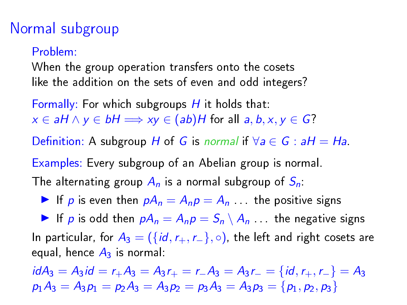## Normal subgroup

#### Problem:

When the group operation transfers onto the cosets like the addition on the sets of even and odd integers?

Formally: For which subgroups  $H$  it holds that:  $x \in aH \wedge y \in bH \Longrightarrow xy \in (ab)H$  for all  $a, b, x, y \in G$ ?

Definition: A subgroup H of G is normal if  $\forall a \in G : aH = Ha$ .

Examples: Every subgroup of an Abelian group is normal.

The alternating group  $A_n$  is a normal subgroup of  $S_n$ .

If p is even then  $pA_n = A_np = A_n$  . . the positive signs

If p is odd then  $pA_n = A_np = S_n \setminus A_n$ . . . the negative signs In particular, for  $A_3 = (\{id, r_+, r_-\}, \circ)$ , the left and right cosets are equal, hence  $A_3$  is normal:

 $idA_3 = A_3id = r_+A_3 = A_3r_+ = r_-A_3 = A_3r_- = \{id, r_+, r_-\} = A_3$  $p_1A_3 = A_3p_1 = p_2A_3 = A_3p_2 = p_3A_3 = A_3p_3 = \{p_1, p_2, p_3\}$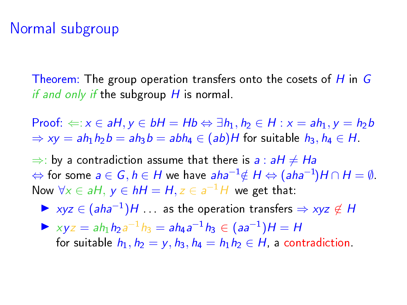Theorem: The group operation transfers onto the cosets of  $H$  in  $G$ if and only if the subgroup  $H$  is normal.

Proof:  $\Leftarrow: x \in aH, y \in bH = Hb \Leftrightarrow \exists h_1, h_2 \in H : x = ah_1, y = h_2b$  $\Rightarrow xy = ah_1h_2b = ah_3b = abh_4 \in (ab)H$  for suitable  $h_3, h_4 \in H$ .

 $\Rightarrow$ : by a contradiction assume that there is a : aH  $\neq$  Ha  $\Leftrightarrow$  for some  $a \in G$ ,  $h \in H$  we have  $aha^{-1} \notin H \Leftrightarrow (aha^{-1})H \cap H = \emptyset$ . Now  $\forall x \in aH, y \in hH = H, z \in a^{-1}H$  we get that:

- $\triangleright$  xyz ∈  $(aha^{-1})H$  ... as the operation transfers  $\Rightarrow$  xyz ∉ H
- $\triangleright$   $xyz = ah_1h_2a^{-1}h_3 = ah_4a^{-1}h_3 \in (aa^{-1})H = H$ for suitable  $h_1$ ,  $h_2 = v$ ,  $h_3$ ,  $h_4 = h_1h_2 \in H$ , a contradiction.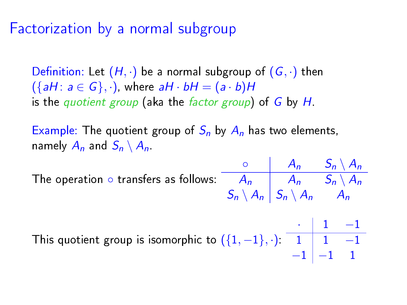### Factorization by a normal subgroup

Definition: Let  $(H, \cdot)$  be a normal subgroup of  $(G, \cdot)$  then  $({aH : a \in G}, \cdot)$ , where  $aH \cdot bH = (a \cdot b)H$ is the quotient group (aka the factor group) of  $G$  by  $H$ .

Example: The quotient group of  $S_n$  by  $A_n$  has two elements, namely  $A_n$  and  $S_n \setminus A_n$ .

The operation  $\circ$  transfers as follows:

$$
\begin{array}{c|cc}\n\circ & A_n & S_n \setminus A_n \\
\hline\nA_n & A_n & S_n \setminus A_n \\
S_n \setminus A_n & S_n \setminus A_n & A_n\n\end{array}
$$

This quotient group is isomorphic to  $(\{1,-1\},\cdot)$ .  $\cdot$  | 1  $-1$  $1 \mid 1 \mid -1$  $-1$  |  $-1$  1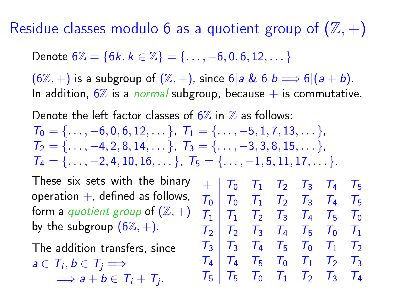Residue classes modulo 6 as a quotient group of  $(\mathbb{Z}, +)$ 

Denote  $6\mathbb{Z} = \{6k, k \in \mathbb{Z}\} = \{\ldots, -6, 0, 6, 12, \ldots\}$ 

 $(6\mathbb{Z}, +)$  is a subgroup of  $(\mathbb{Z}, +)$ , since  $6|a \& 6|b \Longrightarrow 6|(a + b)$ . In addition,  $6\mathbb{Z}$  is a *normal* subgroup, because  $+$  is commutative.

Denote the left factor classes of  $6\%$  in  $\%$  as follows:

 $T_0 = \{\ldots, -6, 0, 6, 12, \ldots\}, T_1 = \{\ldots, -5, 1, 7, 13, \ldots\}$  $T_2 = \{ \ldots, -4, 2, 8, 14, \ldots \}, T_3 = \{ \ldots, -3, 3, 8, 15, \ldots \}$  $T_4 = \{\ldots, -2, 4, 10, 16, \ldots\}, T_5 = \{\ldots, -1, 5, 11, 17, \ldots\}$ 

These six sets with the binar operation  $+$ , defined as follows form a quotient group of  $(\mathbb{Z}, +)$ by the subgroup  $(6\mathbb{Z}, +)$ .

The addition transfers, since  $a \in \mathcal{T}_i, b \in \mathcal{T}_j \Longrightarrow$  $\implies$  a + b  $\in$  T<sub>i</sub> + T<sub>j</sub>

$$
\begin{array}{ccccccccc}\n\mathbf{y} & + & T_0 & T_1 & T_2 & T_3 & T_4 & T_5 \\
\hline\n\mathbf{y} & - & T_0 & T_0 & T_1 & T_2 & T_3 & T_4 & T_5 \\
\mathbf{y} & - & T_1 & T_1 & T_2 & T_3 & T_4 & T_5 & T_0 \\
\mathbf{y} & - & T_2 & T_3 & T_4 & T_5 & T_0 & T_1 \\
\mathbf{y} & - & T_2 & T_3 & T_4 & T_5 & T_0 & T_1 & T_2 \\
\mathbf{y} & - & T_3 & T_4 & T_5 & T_0 & T_1 & T_2 & T_3 \\
\mathbf{y} & - & T_4 & T_5 & T_0 & T_1 & T_2 & T_3 & T_4 \\
\end{array}
$$